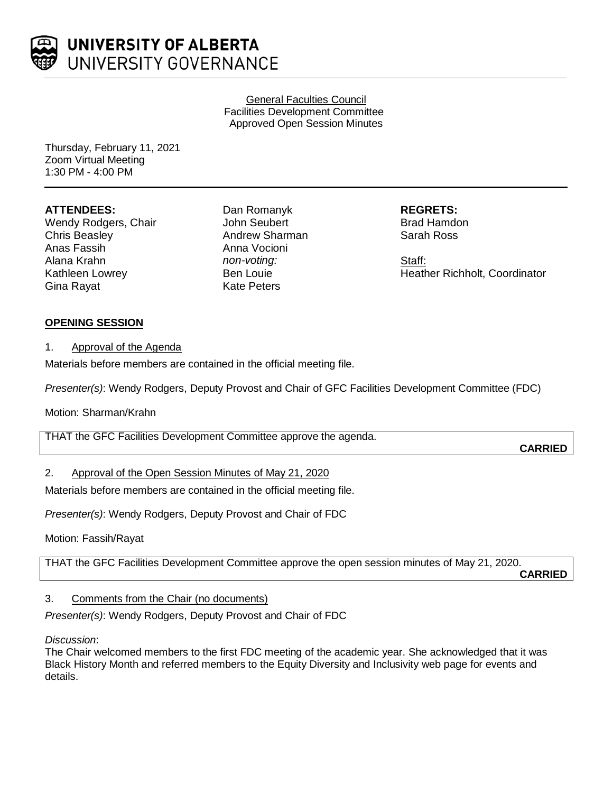

General Faculties Council Facilities Development Committee Approved Open Session Minutes

Thursday, February 11, 2021 Zoom Virtual Meeting 1:30 PM - 4:00 PM

## **ATTENDEES:**

Wendy Rodgers, Chair Chris Beasley Anas Fassih Alana Krahn Kathleen Lowrey Gina Rayat

Dan Romanyk John Seubert Andrew Sharman Anna Vocioni *non-voting:* Ben Louie Kate Peters

**REGRETS:** Brad Hamdon Sarah Ross

Staff: Heather Richholt, Coordinator

# **OPENING SESSION**

## 1. Approval of the Agenda

Materials before members are contained in the official meeting file.

*Presenter(s)*: Wendy Rodgers, Deputy Provost and Chair of GFC Facilities Development Committee (FDC)

## Motion: Sharman/Krahn

THAT the GFC Facilities Development Committee approve the agenda.

# 2. Approval of the Open Session Minutes of May 21, 2020

Materials before members are contained in the official meeting file.

*Presenter(s)*: Wendy Rodgers, Deputy Provost and Chair of FDC

Motion: Fassih/Rayat

THAT the GFC Facilities Development Committee approve the open session minutes of May 21, 2020.

**CARRIED**

**CARRIED**

# 3. Comments from the Chair (no documents)

*Presenter(s)*: Wendy Rodgers, Deputy Provost and Chair of FDC

### *Discussion*:

The Chair welcomed members to the first FDC meeting of the academic year. She acknowledged that it was Black History Month and referred members to the Equity Diversity and Inclusivity web page for events and details.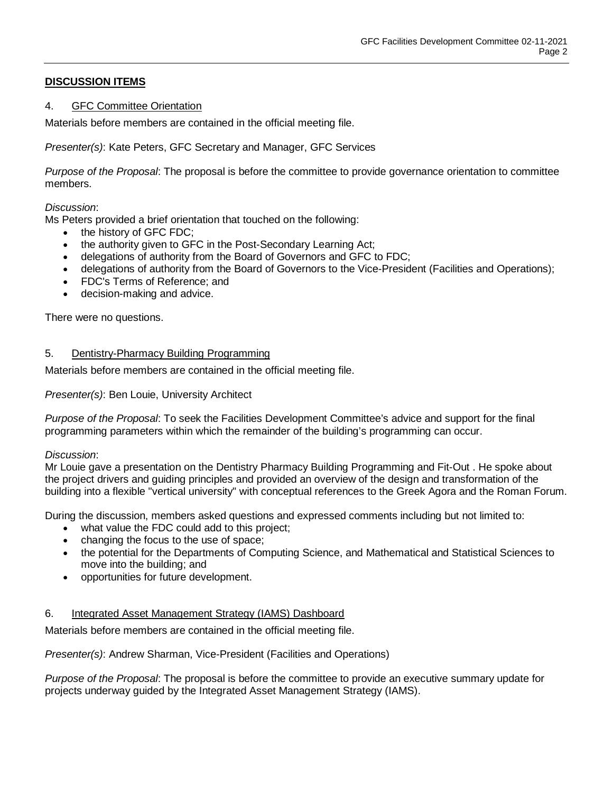# **DISCUSSION ITEMS**

### 4. GFC Committee Orientation

Materials before members are contained in the official meeting file.

*Presenter(s)*: Kate Peters, GFC Secretary and Manager, GFC Services

*Purpose of the Proposal*: The proposal is before the committee to provide governance orientation to committee members.

### *Discussion*:

Ms Peters provided a brief orientation that touched on the following:

- the history of GFC FDC;
- the authority given to GFC in the Post-Secondary Learning Act;
- delegations of authority from the Board of Governors and GFC to FDC;
- delegations of authority from the Board of Governors to the Vice-President (Facilities and Operations);
- FDC's Terms of Reference; and
- decision-making and advice.

There were no questions.

### 5. Dentistry-Pharmacy Building Programming

Materials before members are contained in the official meeting file.

*Presenter(s)*: Ben Louie, University Architect

*Purpose of the Proposal*: To seek the Facilities Development Committee's advice and support for the final programming parameters within which the remainder of the building's programming can occur.

### *Discussion*:

Mr Louie gave a presentation on the Dentistry Pharmacy Building Programming and Fit-Out . He spoke about the project drivers and guiding principles and provided an overview of the design and transformation of the building into a flexible "vertical university" with conceptual references to the Greek Agora and the Roman Forum.

During the discussion, members asked questions and expressed comments including but not limited to:

- what value the FDC could add to this project;
- changing the focus to the use of space;
- the potential for the Departments of Computing Science, and Mathematical and Statistical Sciences to move into the building; and
- opportunities for future development.

### 6. Integrated Asset Management Strategy (IAMS) Dashboard

Materials before members are contained in the official meeting file.

*Presenter(s)*: Andrew Sharman, Vice-President (Facilities and Operations)

*Purpose of the Proposal*: The proposal is before the committee to provide an executive summary update for projects underway guided by the Integrated Asset Management Strategy (IAMS).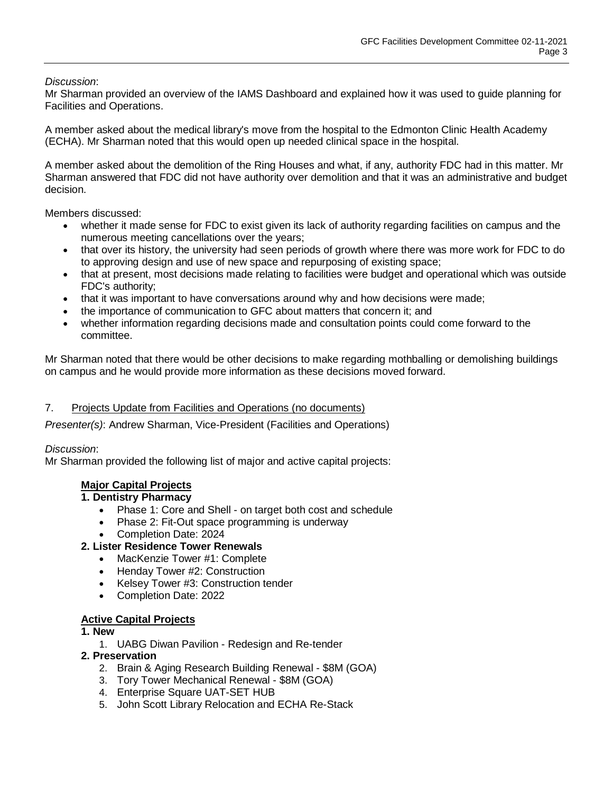*Discussion*:

Mr Sharman provided an overview of the IAMS Dashboard and explained how it was used to guide planning for Facilities and Operations.

A member asked about the medical library's move from the hospital to the Edmonton Clinic Health Academy (ECHA). Mr Sharman noted that this would open up needed clinical space in the hospital.

A member asked about the demolition of the Ring Houses and what, if any, authority FDC had in this matter. Mr Sharman answered that FDC did not have authority over demolition and that it was an administrative and budget decision.

Members discussed:

- whether it made sense for FDC to exist given its lack of authority regarding facilities on campus and the numerous meeting cancellations over the years;
- that over its history, the university had seen periods of growth where there was more work for FDC to do to approving design and use of new space and repurposing of existing space;
- that at present, most decisions made relating to facilities were budget and operational which was outside FDC's authority;
- that it was important to have conversations around why and how decisions were made;
- the importance of communication to GFC about matters that concern it; and
- whether information regarding decisions made and consultation points could come forward to the committee.

Mr Sharman noted that there would be other decisions to make regarding mothballing or demolishing buildings on campus and he would provide more information as these decisions moved forward.

### 7. Projects Update from Facilities and Operations (no documents)

*Presenter(s)*: Andrew Sharman, Vice-President (Facilities and Operations)

### *Discussion*:

Mr Sharman provided the following list of major and active capital projects:

### **Major Capital Projects**

### **1. Dentistry Pharmacy**

- Phase 1: Core and Shell on target both cost and schedule<br>• Phase 2: Fit-Out space programming is underway
- Phase 2: Fit-Out space programming is underway
- Completion Date: 2024

## **2. Lister Residence Tower Renewals**

- MacKenzie Tower #1: Complete
- Henday Tower #2: Construction
- Kelsey Tower #3: Construction tender
- Completion Date: 2022

### **Active Capital Projects**

### **1. New**

1. UABG Diwan Pavilion - Redesign and Re-tender

### **2. Preservation**

- 2. Brain & Aging Research Building Renewal \$8M (GOA)
- 3. Tory Tower Mechanical Renewal \$8M (GOA)
- 4. Enterprise Square UAT-SET HUB
- 5. John Scott Library Relocation and ECHA Re-Stack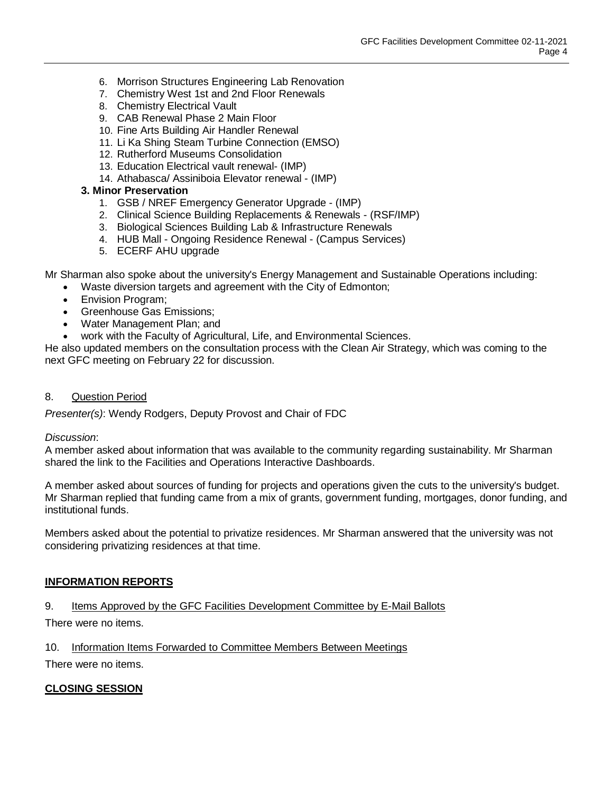- 6. Morrison Structures Engineering Lab Renovation
- 7. Chemistry West 1st and 2nd Floor Renewals
- 8. Chemistry Electrical Vault
- 9. CAB Renewal Phase 2 Main Floor
- 10. Fine Arts Building Air Handler Renewal
- 11. Li Ka Shing Steam Turbine Connection (EMSO)
- 12. Rutherford Museums Consolidation
- 13. Education Electrical vault renewal- (IMP)
- 14. Athabasca/ Assiniboia Elevator renewal (IMP)

#### **3. Minor Preservation**

- 1. GSB / NREF Emergency Generator Upgrade (IMP)
- 2. Clinical Science Building Replacements & Renewals (RSF/IMP)
- 3. Biological Sciences Building Lab & Infrastructure Renewals
- 4. HUB Mall Ongoing Residence Renewal (Campus Services)
- 5. ECERF AHU upgrade

Mr Sharman also spoke about the university's Energy Management and Sustainable Operations including:

- Waste diversion targets and agreement with the City of Edmonton;
- Envision Program;
- Greenhouse Gas Emissions;
- Water Management Plan; and
- work with the Faculty of Agricultural, Life, and Environmental Sciences.

He also updated members on the consultation process with the Clean Air Strategy, which was coming to the next GFC meeting on February 22 for discussion.

#### 8. Question Period

*Presenter(s)*: Wendy Rodgers, Deputy Provost and Chair of FDC

#### *Discussion*:

A member asked about information that was available to the community regarding sustainability. Mr Sharman shared the link to the Facilities and Operations Interactive Dashboards.

A member asked about sources of funding for projects and operations given the cuts to the university's budget. Mr Sharman replied that funding came from a mix of grants, government funding, mortgages, donor funding, and institutional funds.

Members asked about the potential to privatize residences. Mr Sharman answered that the university was not considering privatizing residences at that time.

### **INFORMATION REPORTS**

### 9. Items Approved by the GFC Facilities Development Committee by E-Mail Ballots

There were no items.

10. Information Items Forwarded to Committee Members Between Meetings

There were no items.

### **CLOSING SESSION**